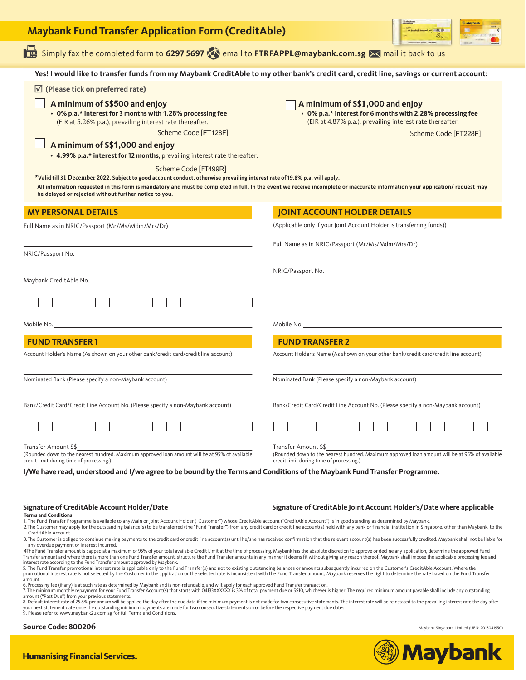| <b>Maybank Fund Transfer Application Form (CreditAble)</b>                                                                                                                                                                                                                                                                                                                                                                                                                                                                                                                                                                                                                                                                                                                                                                                                                                                                                                                                                                                                                                                                                                                                                                                                                                                                                                                                                                                                                                                                                                                                                                                                                                                                                                                                                                                                                              |                                                                                                                                                                                                                                                                                                       |
|-----------------------------------------------------------------------------------------------------------------------------------------------------------------------------------------------------------------------------------------------------------------------------------------------------------------------------------------------------------------------------------------------------------------------------------------------------------------------------------------------------------------------------------------------------------------------------------------------------------------------------------------------------------------------------------------------------------------------------------------------------------------------------------------------------------------------------------------------------------------------------------------------------------------------------------------------------------------------------------------------------------------------------------------------------------------------------------------------------------------------------------------------------------------------------------------------------------------------------------------------------------------------------------------------------------------------------------------------------------------------------------------------------------------------------------------------------------------------------------------------------------------------------------------------------------------------------------------------------------------------------------------------------------------------------------------------------------------------------------------------------------------------------------------------------------------------------------------------------------------------------------------|-------------------------------------------------------------------------------------------------------------------------------------------------------------------------------------------------------------------------------------------------------------------------------------------------------|
| Simply fax the completed form to 6297 5697 (2) email to FTRFAPPL@maybank.com.sg >< mail it back to us                                                                                                                                                                                                                                                                                                                                                                                                                                                                                                                                                                                                                                                                                                                                                                                                                                                                                                                                                                                                                                                                                                                                                                                                                                                                                                                                                                                                                                                                                                                                                                                                                                                                                                                                                                                   |                                                                                                                                                                                                                                                                                                       |
| Yes! I would like to transfer funds from my Maybank CreditAble to my other bank's credit card, credit line, savings or current account:                                                                                                                                                                                                                                                                                                                                                                                                                                                                                                                                                                                                                                                                                                                                                                                                                                                                                                                                                                                                                                                                                                                                                                                                                                                                                                                                                                                                                                                                                                                                                                                                                                                                                                                                                 |                                                                                                                                                                                                                                                                                                       |
| $\triangledown$ (Please tick on preferred rate)<br>A minimum of S\$500 and enjoy<br>• 0% p.a.* interest for 3 months with 1.28% processing fee<br>(EIR at 5.26% p.a.), prevailing interest rate thereafter.<br>Scheme Code [FT128F]                                                                                                                                                                                                                                                                                                                                                                                                                                                                                                                                                                                                                                                                                                                                                                                                                                                                                                                                                                                                                                                                                                                                                                                                                                                                                                                                                                                                                                                                                                                                                                                                                                                     | A minimum of S\$1,000 and enjoy<br>• 0% p.a.* interest for 6 months with 2.28% processing fee<br>(EIR at 4.87% p.a.), prevailing interest rate thereafter.<br>Scheme Code [FT228F]                                                                                                                    |
| A minimum of S\$1,000 and enjoy<br>• 4.99% p.a.* interest for 12 months, prevailing interest rate thereafter.<br>Scheme Code [FT499R]<br>*Valid till 31 December 2022. Subject to good account conduct, otherwise prevailing interest rate of 19.8% p.a. will apply.<br>All information requested in this form is mandatory and must be completed in full. In the event we receive incomplete or inaccurate information your application/ request may<br>be delayed or rejected without further notice to you.                                                                                                                                                                                                                                                                                                                                                                                                                                                                                                                                                                                                                                                                                                                                                                                                                                                                                                                                                                                                                                                                                                                                                                                                                                                                                                                                                                          |                                                                                                                                                                                                                                                                                                       |
| <b>MY PERSONAL DETAILS</b>                                                                                                                                                                                                                                                                                                                                                                                                                                                                                                                                                                                                                                                                                                                                                                                                                                                                                                                                                                                                                                                                                                                                                                                                                                                                                                                                                                                                                                                                                                                                                                                                                                                                                                                                                                                                                                                              | <b>JOINT ACCOUNT HOLDER DETAILS</b>                                                                                                                                                                                                                                                                   |
| Full Name as in NRIC/Passport (Mr/Ms/Mdm/Mrs/Dr)                                                                                                                                                                                                                                                                                                                                                                                                                                                                                                                                                                                                                                                                                                                                                                                                                                                                                                                                                                                                                                                                                                                                                                                                                                                                                                                                                                                                                                                                                                                                                                                                                                                                                                                                                                                                                                        | (Applicable only if your Joint Account Holder is transferring funds))                                                                                                                                                                                                                                 |
| NRIC/Passport No.                                                                                                                                                                                                                                                                                                                                                                                                                                                                                                                                                                                                                                                                                                                                                                                                                                                                                                                                                                                                                                                                                                                                                                                                                                                                                                                                                                                                                                                                                                                                                                                                                                                                                                                                                                                                                                                                       | Full Name as in NRIC/Passport (Mr/Ms/Mdm/Mrs/Dr)                                                                                                                                                                                                                                                      |
| Maybank CreditAble No.                                                                                                                                                                                                                                                                                                                                                                                                                                                                                                                                                                                                                                                                                                                                                                                                                                                                                                                                                                                                                                                                                                                                                                                                                                                                                                                                                                                                                                                                                                                                                                                                                                                                                                                                                                                                                                                                  | NRIC/Passport No.                                                                                                                                                                                                                                                                                     |
| Mobile No.<br><b>FUND TRANSFER 1</b><br>Account Holder's Name (As shown on your other bank/credit card/credit line account)                                                                                                                                                                                                                                                                                                                                                                                                                                                                                                                                                                                                                                                                                                                                                                                                                                                                                                                                                                                                                                                                                                                                                                                                                                                                                                                                                                                                                                                                                                                                                                                                                                                                                                                                                             | Mobile No.<br><b>FUND TRANSFER 2</b><br>Account Holder's Name (As shown on your other bank/credit card/credit line account)                                                                                                                                                                           |
| Nominated Bank (Please specify a non-Maybank account)                                                                                                                                                                                                                                                                                                                                                                                                                                                                                                                                                                                                                                                                                                                                                                                                                                                                                                                                                                                                                                                                                                                                                                                                                                                                                                                                                                                                                                                                                                                                                                                                                                                                                                                                                                                                                                   | Nominated Bank (Please specify a non-Maybank account)                                                                                                                                                                                                                                                 |
| Bank/Credit Card/Credit Line Account No. (Please specify a non-Maybank account)                                                                                                                                                                                                                                                                                                                                                                                                                                                                                                                                                                                                                                                                                                                                                                                                                                                                                                                                                                                                                                                                                                                                                                                                                                                                                                                                                                                                                                                                                                                                                                                                                                                                                                                                                                                                         | Bank/Credit Card/Credit Line Account No. (Please specify a non-Maybank account)                                                                                                                                                                                                                       |
| Transfer Amount S\$<br>(Rounded down to the nearest hundred. Maximum approved loan amount will be at 95% of available<br>credit limit during time of processing.)                                                                                                                                                                                                                                                                                                                                                                                                                                                                                                                                                                                                                                                                                                                                                                                                                                                                                                                                                                                                                                                                                                                                                                                                                                                                                                                                                                                                                                                                                                                                                                                                                                                                                                                       | Transfer Amount S\$<br>(Rounded down to the nearest hundred. Maximum approved loan amount will be at 95% of available<br>credit limit during time of processing.)                                                                                                                                     |
| I/We have read, understood and I/we agree to be bound by the Terms and Conditions of the Maybank Fund Transfer Programme.<br>Signature of CreditAble Account Holder/Date<br><b>Terms and Conditions</b><br>1. The Fund Transfer Programme is available to any Main or Joint Account Holder ("Customer") whose CreditAble account ("CreditAble Account") is in good standing as determined by Maybank.<br>CreditAble Account.<br>3. The Customer is obliged to continue making payments to the credit card or credit line account(s) until he/she has received confirmation that the relevant account(s) has been successfully credited. Maybank shall not be l<br>any overdue payment or interest incurred.<br>4The Fund Transfer amount is capped at a maximum of 95% of your total available Credit Limit at the time of processing. Maybank has the absolute discretion to approve or decline any application, determine the approved Fund<br>Transfer amount and where there is more than one Fund Transfer amount, structure the Fund Transfer amounts in any manner it deems fit without giving any reason thereof. Maybank shall impose the applicable processing fee an<br>interest rate according to the Fund Transfer amount approved by Maybank.<br>5. The Fund Transfer promotional interest rate is applicable only to the Fund Transfer(s) and not to existing outstanding balances or amounts subsequently incurred on the Customer's CreditAble Account. Where the<br>promotional interest rate is not selected by the Customer in the application or the selected rate is inconsistent with the Fund Transfer amount, Maybank reserves the right to determine the rate based on the Fund Transfer<br>amount.<br>6. Processing fee (if any) is at such rate as determined by Maybank and is non-refundable, and wilt apply for each approved Fund Transfer transaction. | Signature of CreditAble Joint Account Holder's/Date where applicable<br>2. The Customer may apply for the outstanding balance(s) to be transferred (the "Fund Transfer") from any credit card or credit line account(s) held with any bank or financial institution in Singapore, other than Maybank, |

amount ("Past Due") from your previous statements.<br>8. Default interest rate of 25.8% per annum will be applied the day after the due date if the minimum payment is not made for two consecutive statements. The interest rate

**Source Code: 800206** Maybank Singapore Limited (UEN: 201804195C)



**El Station** 

**OMaybank** 

## **Humanising Financial Services.**